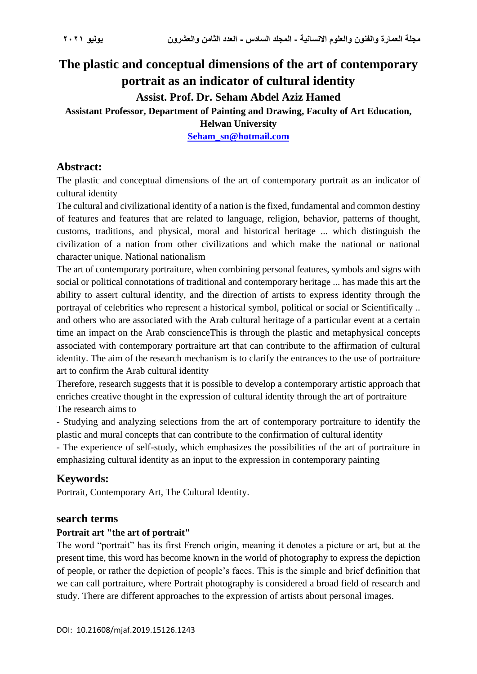# **The plastic and conceptual dimensions of the art of contemporary portrait as an indicator of cultural identity Assist. Prof. Dr. Seham Abdel Aziz Hamed**

### **Assistant Professor, Department of Painting and Drawing, Faculty of Art Education,**

**Helwan University**

**[Seham\\_sn@hotmail.com](mailto:Seham_sn@hotmail.com)**

## **Abstract:**

The plastic and conceptual dimensions of the art of contemporary portrait as an indicator of cultural identity

The cultural and civilizational identity of a nation is the fixed, fundamental and common destiny of features and features that are related to language, religion, behavior, patterns of thought, customs, traditions, and physical, moral and historical heritage ... which distinguish the civilization of a nation from other civilizations and which make the national or national character unique. National nationalism

The art of contemporary portraiture, when combining personal features, symbols and signs with social or political connotations of traditional and contemporary heritage ... has made this art the ability to assert cultural identity, and the direction of artists to express identity through the portrayal of celebrities who represent a historical symbol, political or social or Scientifically .. and others who are associated with the Arab cultural heritage of a particular event at a certain time an impact on the Arab conscienceThis is through the plastic and metaphysical concepts associated with contemporary portraiture art that can contribute to the affirmation of cultural identity. The aim of the research mechanism is to clarify the entrances to the use of portraiture art to confirm the Arab cultural identity

Therefore, research suggests that it is possible to develop a contemporary artistic approach that enriches creative thought in the expression of cultural identity through the art of portraiture The research aims to

- Studying and analyzing selections from the art of contemporary portraiture to identify the plastic and mural concepts that can contribute to the confirmation of cultural identity

- The experience of self-study, which emphasizes the possibilities of the art of portraiture in emphasizing cultural identity as an input to the expression in contemporary painting

# **Keywords:**

Portrait, Contemporary Art, The Cultural Identity.

#### **search terms**

#### **Portrait art "the art of portrait"**

The word "portrait" has its first French origin, meaning it denotes a picture or art, but at the present time, this word has become known in the world of photography to express the depiction of people, or rather the depiction of people's faces. This is the simple and brief definition that we can call portraiture, where Portrait photography is considered a broad field of research and study. There are different approaches to the expression of artists about personal images.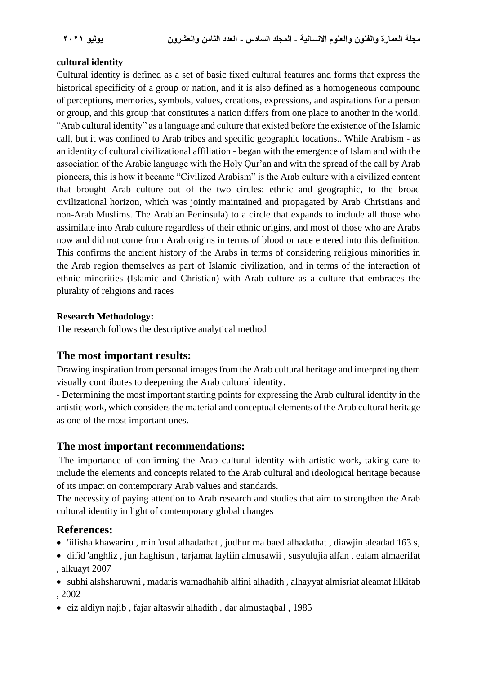#### **cultural identity**

Cultural identity is defined as a set of basic fixed cultural features and forms that express the historical specificity of a group or nation, and it is also defined as a homogeneous compound of perceptions, memories, symbols, values, creations, expressions, and aspirations for a person or group, and this group that constitutes a nation differs from one place to another in the world. "Arab cultural identity" as a language and culture that existed before the existence of the Islamic call, but it was confined to Arab tribes and specific geographic locations.. While Arabism - as an identity of cultural civilizational affiliation - began with the emergence of Islam and with the association of the Arabic language with the Holy Qur'an and with the spread of the call by Arab pioneers, this is how it became "Civilized Arabism" is the Arab culture with a civilized content that brought Arab culture out of the two circles: ethnic and geographic, to the broad civilizational horizon, which was jointly maintained and propagated by Arab Christians and non-Arab Muslims. The Arabian Peninsula) to a circle that expands to include all those who assimilate into Arab culture regardless of their ethnic origins, and most of those who are Arabs now and did not come from Arab origins in terms of blood or race entered into this definition. This confirms the ancient history of the Arabs in terms of considering religious minorities in the Arab region themselves as part of Islamic civilization, and in terms of the interaction of ethnic minorities (Islamic and Christian) with Arab culture as a culture that embraces the plurality of religions and races

#### **Research Methodology:**

The research follows the descriptive analytical method

## **The most important results:**

Drawing inspiration from personal images from the Arab cultural heritage and interpreting them visually contributes to deepening the Arab cultural identity.

- Determining the most important starting points for expressing the Arab cultural identity in the artistic work, which considers the material and conceptual elements of the Arab cultural heritage as one of the most important ones.

## **The most important recommendations:**

The importance of confirming the Arab cultural identity with artistic work, taking care to include the elements and concepts related to the Arab cultural and ideological heritage because of its impact on contemporary Arab values and standards.

The necessity of paying attention to Arab research and studies that aim to strengthen the Arab cultural identity in light of contemporary global changes

# **References:**

- 'iilisha khawariru , min 'usul alhadathat , judhur ma baed alhadathat , diawjin aleadad 163 s,
- difid 'anghliz , jun haghisun , tarjamat layliin almusawii , susyulujia alfan , ealam almaerifat , alkuayt 2007
- subhi alshsharuwni , madaris wamadhahib alfini alhadith , alhayyat almisriat aleamat lilkitab , 2002
- eiz aldiyn najib , fajar altaswir alhadith , dar almustaqbal , 1985